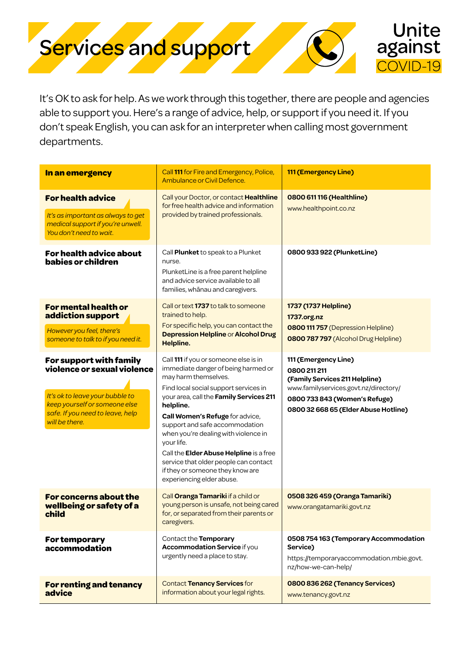

It's OK to ask for help. As we work through this together, there are people and agencies able to support you. Here's a range of advice, help, or support if you need it. If you don't speak English, you can ask for an interpreter when calling most government departments.

| In an emergency                                                                                                                                                                  | Call 111 for Fire and Emergency, Police,<br>Ambulance or Civil Defence.                                                                                                                                                                                                                                                                                                                                                                                                               | 111 (Emergency Line)                                                                                                                                                                     |
|----------------------------------------------------------------------------------------------------------------------------------------------------------------------------------|---------------------------------------------------------------------------------------------------------------------------------------------------------------------------------------------------------------------------------------------------------------------------------------------------------------------------------------------------------------------------------------------------------------------------------------------------------------------------------------|------------------------------------------------------------------------------------------------------------------------------------------------------------------------------------------|
| <b>For health advice</b><br>It's as important as always to get<br>medical support if you're unwell.<br>You don't need to wait.                                                   | Call your Doctor, or contact Healthline<br>for free health advice and information<br>provided by trained professionals.                                                                                                                                                                                                                                                                                                                                                               | 0800 611 116 (Healthline)<br>www.healthpoint.co.nz                                                                                                                                       |
| For health advice about<br>babies or children                                                                                                                                    | Call Plunket to speak to a Plunket<br>nurse.<br>PlunketLine is a free parent helpline<br>and advice service available to all<br>families, whānau and caregivers.                                                                                                                                                                                                                                                                                                                      | 0800 933 922 (PlunketLine)                                                                                                                                                               |
| For mental health or<br>addiction support<br>However you feel, there's<br>someone to talk to if you need it.                                                                     | Call or text 1737 to talk to someone<br>trained to help.<br>For specific help, you can contact the<br>Depression Helpline or Alcohol Drug<br>Helpline.                                                                                                                                                                                                                                                                                                                                | 1737 (1737 Helpline)<br>1737.org.nz<br>0800 111 757 (Depression Helpline)<br>0800 787 797 (Alcohol Drug Helpline)                                                                        |
| For support with family<br>violence or sexual violence<br>It's ok to leave your bubble to<br>keep yourself or someone else<br>safe. If you need to leave, help<br>will be there. | Call 111 if you or someone else is in<br>immediate danger of being harmed or<br>may harm themselves.<br>Find local social support services in<br>your area, call the Family Services 211<br>helpline.<br>Call Women's Refuge for advice,<br>support and safe accommodation<br>when you're dealing with violence in<br>your life.<br>Call the Elder Abuse Helpline is a free<br>service that older people can contact<br>if they or someone they know are<br>experiencing elder abuse. | 111 (Emergency Line)<br>0800 211 211<br>(Family Services 211 Helpline)<br>www.familyservices.govt.nz/directory/<br>0800 733 843 (Women's Refuge)<br>0800 32 668 65 (Elder Abuse Hotline) |
| For concerns about the<br>wellbeing or safety of a<br>child                                                                                                                      | Call Oranga Tamariki if a child or<br>young person is unsafe, not being cared<br>for, or separated from their parents or<br>caregivers.                                                                                                                                                                                                                                                                                                                                               | 0508 326 459 (Oranga Tamariki)<br>www.orangatamariki.govt.nz                                                                                                                             |
| For temporary<br>accommodation                                                                                                                                                   | Contact the Temporary<br><b>Accommodation Service if you</b><br>urgently need a place to stay.                                                                                                                                                                                                                                                                                                                                                                                        | 0508 754 163 (Temporary Accommodation<br>Service)<br>https://temporaryaccommodation.mbie.govt.<br>nz/how-we-can-help/                                                                    |
| <b>For renting and tenancy</b><br>advice                                                                                                                                         | <b>Contact Tenancy Services for</b><br>information about your legal rights.                                                                                                                                                                                                                                                                                                                                                                                                           | 0800 836 262 (Tenancy Services)<br>www.tenancy.govt.nz                                                                                                                                   |